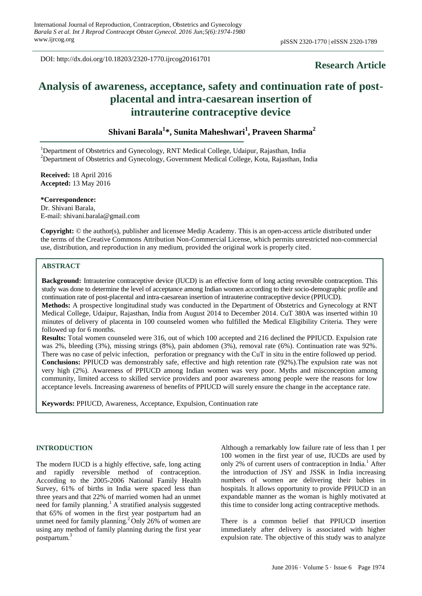DOI: http://dx.doi.org/10.18203/2320-1770.ijrcog20161701

# **Research Article**

# **Analysis of awareness, acceptance, safety and continuation rate of postplacental and intra-caesarean insertion of intrauterine contraceptive device**

**Shivani Barala<sup>1</sup> \*, Sunita Maheshwari<sup>1</sup> , Praveen Sharma<sup>2</sup>** 

<sup>1</sup>Department of Obstetrics and Gynecology, RNT Medical College, Udaipur, Rajasthan, India <sup>2</sup>Department of Obstetrics and Gynecology, Government Medical College, Kota, Rajasthan, India

**Received:** 18 April 2016 **Accepted:** 13 May 2016

**\*Correspondence:** Dr. Shivani Barala,

E-mail: shivani.barala@gmail.com

**Copyright:** © the author(s), publisher and licensee Medip Academy. This is an open-access article distributed under the terms of the Creative Commons Attribution Non-Commercial License, which permits unrestricted non-commercial use, distribution, and reproduction in any medium, provided the original work is properly cited.

#### **ABSTRACT**

**Background:** Intrauterine contraceptive device (IUCD) is an effective form of long acting reversible contraception. This study was done to determine the level of acceptance among Indian women according to their socio-demographic profile and continuation rate of post-placental and intra-caesarean insertion of intrauterine contraceptive device (PPIUCD).

**Methods:** A prospective longitudinal study was conducted in the Department of Obstetrics and Gynecology at RNT Medical College, Udaipur, Rajasthan, India from August 2014 to December 2014. CuT 380A was inserted within 10 minutes of delivery of placenta in 100 counseled women who fulfilled the Medical Eligibility Criteria. They were followed up for 6 months.

**Results:** Total women counseled were 316, out of which 100 accepted and 216 declined the PPIUCD. Expulsion rate was 2%, bleeding (3%), missing strings (8%), pain abdomen (3%), removal rate (6%). Continuation rate was 92%. There was no case of pelvic infection, perforation or pregnancy with the CuT in situ in the entire followed up period. **Conclusions:** PPIUCD was demonstrably safe, effective and high retention rate (92%).The expulsion rate was not very high (2%). Awareness of PPIUCD among Indian women was very poor. Myths and misconception among community, limited access to skilled service providers and poor awareness among people were the reasons for low acceptance levels. Increasing awareness of benefits of PPIUCD will surely ensure the change in the acceptance rate.

**Keywords:** PPIUCD, Awareness, Acceptance, Expulsion, Continuation rate

# **INTRODUCTION**

The modern IUCD is a highly effective, safe, long acting and rapidly reversible method of contraception. According to the 2005-2006 National Family Health Survey, 61% of births in India were spaced less than three years and that 22% of married women had an unmet need for family planning.<sup>1</sup> A stratified analysis suggested that 65% of women in the first year postpartum had an unmet need for family planning.<sup>2</sup> Only 26% of women are using any method of family planning during the first year postpartum.<sup>3</sup>

Although a remarkably low failure rate of less than 1 per 100 women in the first year of use, IUCDs are used by only 2% of current users of contraception in India.<sup>1</sup> After the introduction of JSY and JSSK in India increasing numbers of women are delivering their babies in hospitals. It allows opportunity to provide PPIUCD in an expandable manner as the woman is highly motivated at this time to consider long acting contraceptive methods.

There is a common belief that PPIUCD insertion immediately after delivery is associated with higher expulsion rate. The objective of this study was to analyze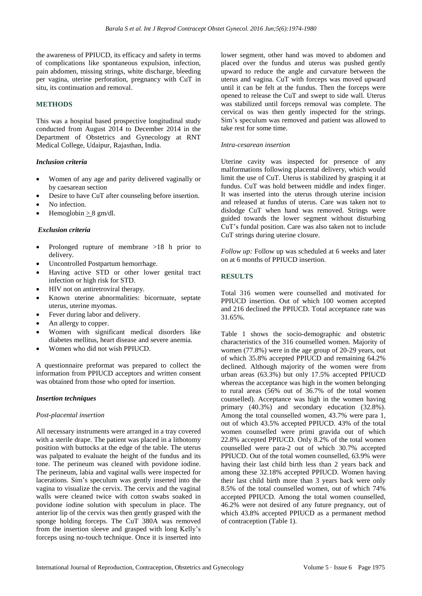the awareness of PPIUCD, its efficacy and safety in terms of complications like spontaneous expulsion, infection, pain abdomen, missing strings, white discharge, bleeding per vagina, uterine perforation, pregnancy with CuT in situ, its continuation and removal.

# **METHODS**

This was a hospital based prospective longitudinal study conducted from August 2014 to December 2014 in the Department of Obstetrics and Gynecology at RNT Medical College, Udaipur, Rajasthan, India.

# *Inclusion criteria*

- Women of any age and parity delivered vaginally or by caesarean section
- Desire to have CuT after counseling before insertion.
- No infection.
- Hemoglobin  $\geq 8$  gm/dl.

#### *Exclusion criteria*

- Prolonged rupture of membrane >18 h prior to delivery.
- Uncontrolled Postpartum hemorrhage.
- Having active STD or other lower genital tract infection or high risk for STD.
- HIV not on antiretroviral therapy.
- Known uterine abnormalities: bicornuate, septate uterus, uterine myomas.
- Fever during labor and delivery.
- An allergy to copper.
- Women with significant medical disorders like diabetes mellitus, heart disease and severe anemia.
- Women who did not wish PPIUCD.

A questionnaire preformat was prepared to collect the information from PPIUCD acceptors and written consent was obtained from those who opted for insertion.

#### *Insertion techniques*

#### *Post-placental insertion*

All necessary instruments were arranged in a tray covered with a sterile drape. The patient was placed in a lithotomy position with buttocks at the edge of the table. The uterus was palpated to evaluate the height of the fundus and its tone. The perineum was cleaned with povidone iodine. The perineum, labia and vaginal walls were inspected for lacerations. Sim's speculum was gently inserted into the vagina to visualize the cervix. The cervix and the vaginal walls were cleaned twice with cotton swabs soaked in povidone iodine solution with speculum in place. The anterior lip of the cervix was then gently grasped with the sponge holding forceps. The CuT 380A was removed from the insertion sleeve and grasped with long Kelly's forceps using no-touch technique. Once it is inserted into lower segment, other hand was moved to abdomen and placed over the fundus and uterus was pushed gently upward to reduce the angle and curvature between the uterus and vagina. CuT with forceps was moved upward until it can be felt at the fundus. Then the forceps were opened to release the CuT and swept to side wall. Uterus was stabilized until forceps removal was complete. The cervical os was then gently inspected for the strings. Sim's speculum was removed and patient was allowed to take rest for some time.

#### *Intra-cesarean insertion*

Uterine cavity was inspected for presence of any malformations following placental delivery, which would limit the use of CuT. Uterus is stabilized by grasping it at fundus. CuT was hold between middle and index finger. It was inserted into the uterus through uterine incision and released at fundus of uterus. Care was taken not to dislodge CuT when hand was removed. Strings were guided towards the lower segment without disturbing CuT's fundal position. Care was also taken not to include CuT strings during uterine closure.

*Follow up:* Follow up was scheduled at 6 weeks and later on at 6 months of PPIUCD insertion.

# **RESULTS**

Total 316 women were counselled and motivated for PPIUCD insertion. Out of which 100 women accepted and 216 declined the PPIUCD. Total acceptance rate was 31.65%.

Table 1 shows the socio-demographic and obstetric characteristics of the 316 counselled women. Majority of women (77.8%) were in the age group of 20-29 years, out of which 35.8% accepted PPIUCD and remaining 64.2% declined. Although majority of the women were from urban areas (63.3%) but only 17.5% accepted PPIUCD whereas the acceptance was high in the women belonging to rural areas (56% out of 36.7% of the total women counselled). Acceptance was high in the women having primary (40.3%) and secondary education (32.8%). Among the total counselled women, 43.7% were para 1, out of which 43.5% accepted PPIUCD. 43% of the total women counselled were primi gravida out of which 22.8% accepted PPIUCD. Only 8.2% of the total women counselled were para-2 out of which 30.7% accepted PPIUCD. Out of the total women counselled, 63.9% were having their last child birth less than 2 years back and among these 32.18% accepted PPIUCD. Women having their last child birth more than 3 years back were only 8.5% of the total counselled women, out of which 74% accepted PPIUCD. Among the total women counselled, 46.2% were not desired of any future pregnancy, out of which 43.8% accepted PPIUCD as a permanent method of contraception (Table 1).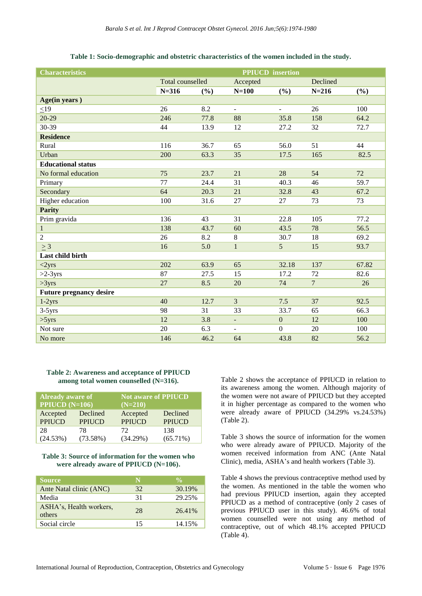| <b>Characteristics</b>         | <b>PPIUCD</b> insertion |      |                          |                          |                |       |
|--------------------------------|-------------------------|------|--------------------------|--------------------------|----------------|-------|
|                                | Total counselled        |      | Accepted                 |                          | Declined       |       |
|                                | $N = 316$               | (%)  | $N=100$                  | (%)                      | $N = 216$      | (%)   |
| Age(in years)                  |                         |      |                          |                          |                |       |
| $<$ 19                         | 26                      | 8.2  | $\blacksquare$           | $\overline{\phantom{a}}$ | 26             | 100   |
| $20-29$                        | 246                     | 77.8 | 88                       | 35.8                     | 158            | 64.2  |
| 30-39                          | 44                      | 13.9 | 12                       | 27.2                     | 32             | 72.7  |
| <b>Residence</b>               |                         |      |                          |                          |                |       |
| Rural                          | 116                     | 36.7 | 65                       | 56.0                     | 51             | 44    |
| Urban                          | 200                     | 63.3 | 35                       | 17.5                     | 165            | 82.5  |
| <b>Educational status</b>      |                         |      |                          |                          |                |       |
| No formal education            | 75                      | 23.7 | 21                       | 28                       | 54             | 72    |
| Primary                        | 77                      | 24.4 | 31                       | 40.3                     | 46             | 59.7  |
| Secondary                      | 64                      | 20.3 | 21                       | 32.8                     | 43             | 67.2  |
| Higher education               | 100                     | 31.6 | 27                       | 27                       | 73             | 73    |
| <b>Parity</b>                  |                         |      |                          |                          |                |       |
| Prim gravida                   | 136                     | 43   | 31                       | 22.8                     | 105            | 77.2  |
| $\mathbf{1}$                   | 138                     | 43.7 | 60                       | 43.5                     | 78             | 56.5  |
| $\overline{2}$                 | 26                      | 8.2  | $8\,$                    | 30.7                     | 18             | 69.2  |
| $\geq 3$                       | 16                      | 5.0  | $\mathbf{1}$             | $\overline{5}$           | 15             | 93.7  |
| Last child birth               |                         |      |                          |                          |                |       |
| <2yrs                          | 202                     | 63.9 | 65                       | 32.18                    | 137            | 67.82 |
| $>2-3yrs$                      | 87                      | 27.5 | 15                       | 17.2                     | 72             | 82.6  |
| >3yrs                          | 27                      | 8.5  | 20                       | 74                       | $\overline{7}$ | 26    |
| <b>Future pregnancy desire</b> |                         |      |                          |                          |                |       |
| $1-2yrs$                       | 40                      | 12.7 | $\overline{3}$           | 7.5                      | 37             | 92.5  |
| $3-5yrs$                       | 98                      | 31   | 33                       | 33.7                     | 65             | 66.3  |
| >5yrs                          | 12                      | 3.8  | $\overline{\phantom{a}}$ | $\boldsymbol{0}$         | 12             | 100   |
| Not sure                       | 20                      | 6.3  | $\overline{\phantom{a}}$ | $\mathbf{0}$             | 20             | 100   |
| No more                        | 146                     | 46.2 | 64                       | 43.8                     | 82             | 56.2  |

#### **Table 1: Socio-demographic and obstetric characteristics of the women included in the study.**

**Table 2: Awareness and acceptance of PPIUCD among total women counselled (N=316).**

| <b>Already</b> aware of |               | Not aware of PPIUCD |               |  |  |
|-------------------------|---------------|---------------------|---------------|--|--|
| <b>PPIUCD</b> $(N=106)$ |               | $(N=210)$           |               |  |  |
| Accepted                | Declined      | Accepted            | Declined      |  |  |
| <b>PPIUCD</b>           | <b>PPIUCD</b> | <b>PPIUCD</b>       | <b>PPIUCD</b> |  |  |
| 28                      | 78            | 72                  | 138           |  |  |
| (24.53%)                | (73.58%)      | $(34.29\%)$         | $(65.71\%)$   |  |  |

#### **Table 3: Source of information for the women who were already aware of PPIUCD (N=106).**

| <b>Source</b>                     | N  | $\frac{0}{\sqrt{2}}$ |
|-----------------------------------|----|----------------------|
| Ante Natal clinic (ANC)           | 32 | 30.19%               |
| Media                             | 31 | 29.25%               |
| ASHA's, Health workers,<br>others | 28 | 26.41%               |
| Social circle                     | 15 | 14.15%               |

Table 2 shows the acceptance of PPIUCD in relation to its awareness among the women. Although majority of the women were not aware of PPIUCD but they accepted it in higher percentage as compared to the women who were already aware of PPIUCD (34.29% vs.24.53%) (Table 2).

Table 3 shows the source of information for the women who were already aware of PPIUCD. Majority of the women received information from ANC (Ante Natal Clinic), media, ASHA's and health workers (Table 3).

Table 4 shows the previous contraceptive method used by the women. As mentioned in the table the women who had previous PPIUCD insertion, again they accepted PPIUCD as a method of contraceptive (only 2 cases of previous PPIUCD user in this study). 46.6% of total women counselled were not using any method of contraceptive, out of which 48.1% accepted PPIUCD (Table 4).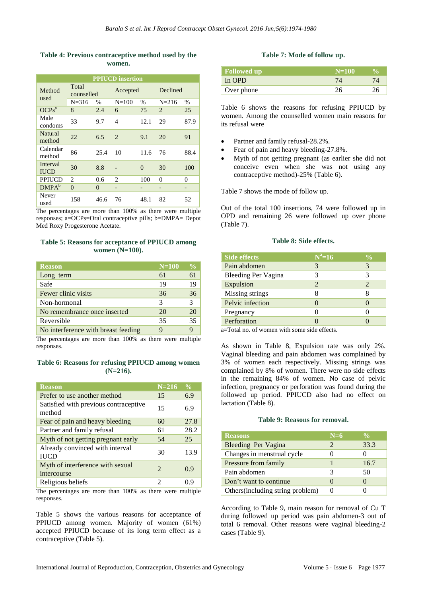#### **Table 4: Previous contraceptive method used by the women.**

| <b>PPIUCD</b> insertion |                     |          |                |          |                |      |  |
|-------------------------|---------------------|----------|----------------|----------|----------------|------|--|
| Method<br>used          | Total<br>counselled |          | Accepted       |          | Declined       |      |  |
|                         | $N = 316$           | %        | $N = 100$      | %        | $N = 216$      | %    |  |
| $OCPs^a$                | 8                   | 2.4      | 6              | 75       | $\overline{c}$ | 25   |  |
| Male<br>condoms         | 33                  | 9.7      | 4              | 12.1     | 29             | 87.9 |  |
| Natural<br>method       | 22                  | 6.5      | $\overline{c}$ | 9.1      | 20             | 91   |  |
| Calendar<br>method      | 86                  | 25.4     | 10             | 11.6     | 76             | 88.4 |  |
| Interval<br><b>IUCD</b> | 30                  | 8.8      |                | $\theta$ | 30             | 100  |  |
| PPIUCD                  | 2                   | 0.6      | 2              | 100      | $\theta$       | 0    |  |
| DMPA <sup>b</sup>       | $\Omega$            | $\theta$ |                | -        | -              | -    |  |
| Never<br>used           | 158                 | 46.6     | 76             | 48.1     | 82             | 52   |  |

The percentages are more than 100% as there were multiple responses; a=OCPs=Oral contraceptive pills; b=DMPA= Depot Med Roxy Progesterone Acetate.

#### **Table 5: Reasons for acceptance of PPIUCD among women (N=100).**

| <b>Reason</b>                       | $N=100$ | $\frac{0}{0}$ |
|-------------------------------------|---------|---------------|
| Long term                           | 61      | 61            |
| Safe                                | 19      | 19            |
| Fewer clinic visits                 | 36      | 36            |
| Non-hormonal                        | 3       | 3             |
| No remembrance once inserted        | 20      | 20            |
| Reversible                          | 35      | 35            |
| No interference with breast feeding |         |               |

The percentages are more than 100% as there were multiple responses.

#### **Table 6: Reasons for refusing PPIUCD among women (N=216).**

| <b>Reason</b>                                   | $N = 216$             | $\frac{1}{2}$ |
|-------------------------------------------------|-----------------------|---------------|
| Prefer to use another method                    | 15                    | 6.9           |
| Satisfied with previous contraceptive<br>method | 15                    | 6.9           |
| Fear of pain and heavy bleeding                 | 60                    | 27.8          |
| Partner and family refusal                      | 61                    | 28.2          |
| Myth of not getting pregnant early              | 54                    | 25            |
| Already convinced with interval<br><b>IUCD</b>  | 30                    | 13.9          |
| Myth of interference with sexual<br>intercourse | $\mathcal{D}_{\cdot}$ | 0.9           |
| Religious beliefs                               | 2                     | 0.9           |

The percentages are more than 100% as there were multiple responses.

Table 5 shows the various reasons for acceptance of PPIUCD among women. Majority of women (61%) accepted PPIUCD because of its long term effect as a contraceptive (Table 5).

#### **Table 7: Mode of follow up.**

| <b>Followed up</b> | $N=100$ |  |
|--------------------|---------|--|
| In OPD             |         |  |
| Over phone         |         |  |

Table 6 shows the reasons for refusing PPIUCD by women. Among the counselled women main reasons for its refusal were

- Partner and family refusal-28.2%.
- Fear of pain and heavy bleeding-27.8%.
- Myth of not getting pregnant (as earlier she did not conceive even when she was not using any contraceptive method)-25% (Table 6).

Table 7 shows the mode of follow up.

Out of the total 100 insertions, 74 were followed up in OPD and remaining 26 were followed up over phone (Table 7).

| <b>Side effects</b> | $N^a=16$              | $\sqrt[0]{\alpha}$          |
|---------------------|-----------------------|-----------------------------|
| Pain abdomen        | 3                     | 3                           |
| Bleeding Per Vagina |                       | 3                           |
| Expulsion           | $\mathcal{D}_{\cdot}$ | $\mathcal{D}_{\mathcal{L}}$ |
| Missing strings     |                       |                             |
| Pelvic infection    |                       |                             |
| Pregnancy           |                       |                             |
| Perforation         |                       |                             |

#### **Table 8: Side effects.**

a=Total no. of women with some side effects.

As shown in Table 8, Expulsion rate was only 2%. Vaginal bleeding and pain abdomen was complained by 3% of women each respectively. Missing strings was complained by 8% of women. There were no side effects in the remaining 84% of women. No case of pelvic infection, pregnancy or perforation was found during the followed up period. PPIUCD also had no effect on lactation (Table 8).

#### **Table 9: Reasons for removal.**

| <b>Reasons</b>                   | $N=6$ | $\frac{0}{0}$ |
|----------------------------------|-------|---------------|
| Bleeding Per Vagina              | 2     | 33.3          |
| Changes in menstrual cycle       |       |               |
| Pressure from family             |       | 16.7          |
| Pain abdomen                     | 3     | 50            |
| Don't want to continue           |       |               |
| Others(including string problem) |       |               |

According to Table 9, main reason for removal of Cu T during followed up period was pain abdomen-3 out of total 6 removal. Other reasons were vaginal bleeding-2 cases (Table 9).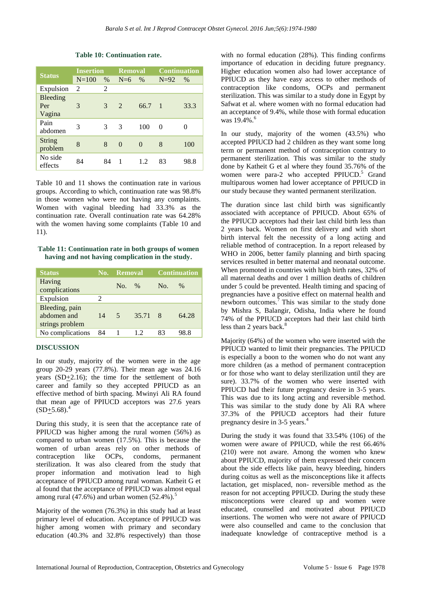| <b>Status</b>                    | <b>Insertion</b> |               | <b>Removal</b> |          | <b>Continuation</b> |          |
|----------------------------------|------------------|---------------|----------------|----------|---------------------|----------|
|                                  | $N = 100$        | $\%$          | $N=6$          | $\%$     | $N=92$              | $\%$     |
| Expulsion                        | $\mathfrak{D}$   | 2             |                |          |                     |          |
| <b>Bleeding</b><br>Per<br>Vagina | 3                | $\mathcal{E}$ | $2^{1}$        | 66.7     | $\blacksquare$ 1    | 33.3     |
| Pain<br>abdomen                  | 3                | 3             | 3              | 100      | 0                   | $\Omega$ |
| <b>String</b><br>problem         | 8                | 8             | $\Omega$       | $\Omega$ | 8                   | 100      |
| No side<br>effects               | 84               | 84            | 1              | 12       | 83                  | 98.8     |

**Table 10: Continuation rate.**

Table 10 and 11 shows the continuation rate in various groups. According to which, continuation rate was 98.8% in those women who were not having any complaints. Women with vaginal bleeding had 33.3% as the continuation rate. Overall continuation rate was 64.28% with the women having some complaints (Table 10 and 11).

**Table 11: Continuation rate in both groups of women having and not having complication in the study.**

| <b>Status</b>                                    |    | <b>No.</b> Removal       |         |     | <b>Continuation</b> |  |
|--------------------------------------------------|----|--------------------------|---------|-----|---------------------|--|
| Having<br>complications                          |    | $No. \%$                 |         | No. | $\%$                |  |
| Expulsion                                        | 2  |                          |         |     |                     |  |
| Bleeding, pain<br>abdomen and<br>strings problem | 14 | $\overline{\mathcal{L}}$ | 35.71 8 |     | 64.28               |  |
| No complications                                 | 84 |                          | 12      | 83  | 98.8                |  |

# **DISCUSSION**

In our study, majority of the women were in the age group 20-29 years (77.8%). Their mean age was 24.16 years (SD+2.16); the time for the settlement of both career and family so they accepted PPIUCD as an effective method of birth spacing. Mwinyi Ali RA found that mean age of PPIUCD acceptors was 27.6 years  $(SD+5.68).$ <sup>4</sup>

During this study, it is seen that the acceptance rate of PPIUCD was higher among the rural women (56%) as compared to urban women (17.5%). This is because the women of urban areas rely on other methods of contraception like OCPs, condoms, permanent sterilization. It was also cleared from the study that proper information and motivation lead to high acceptance of PPIUCD among rural woman. Katheit G et al found that the acceptance of PPIUCD was almost equal among rural (47.6%) and urban women  $(52.4\%)$ .<sup>5</sup>

Majority of the women (76.3%) in this study had at least primary level of education. Acceptance of PPIUCD was higher among women with primary and secondary education (40.3% and 32.8% respectively) than those with no formal education (28%). This finding confirms importance of education in deciding future pregnancy. Higher education women also had lower acceptance of PPIUCD as they have easy access to other methods of contraception like condoms, OCPs and permanent sterilization. This was similar to a study done in Egypt by Safwat et al. where women with no formal education had an acceptance of 9.4%, while those with formal education was  $19.4\%$ .<sup>6</sup>

In our study, majority of the women (43.5%) who accepted PPIUCD had 2 children as they want some long term or permanent method of contraception contrary to permanent sterilization. This was similar to the study done by Katheit G et al where they found 35.76% of the women were para-2 who accepted PPIUCD.<sup>5</sup> Grand multiparous women had lower acceptance of PPIUCD in our study because they wanted permanent sterilization.

The duration since last child birth was significantly associated with acceptance of PPIUCD. About 65% of the PPIUCD acceptors had their last child birth less than 2 years back. Women on first delivery and with short birth interval felt the necessity of a long acting and reliable method of contraception. In a report released by WHO in 2006, better family planning and birth spacing services resulted in better maternal and neonatal outcome. When promoted in countries with high birth rates, 32% of all maternal deaths and over 1 million deaths of children under 5 could be prevented. Health timing and spacing of pregnancies have a positive effect on maternal health and newborn outcomes. $\frac{7}{1}$  This was similar to the study done by Mishra S, Balangir, Odisha, India where he found 74% of the PPIUCD acceptors had their last child birth less than 2 years back.<sup>8</sup>

Majority (64%) of the women who were inserted with the PPIUCD wanted to limit their pregnancies. The PPIUCD is especially a boon to the women who do not want any more children (as a method of permanent contraception or for those who want to delay sterilization until they are sure). 33.7% of the women who were inserted with PPIUCD had their future pregnancy desire in 3-5 years. This was due to its long acting and reversible method. This was similar to the study done by Ali RA where 37.3% of the PPIUCD acceptors had their future pregnancy desire in 3-5 years.<sup>4</sup>

During the study it was found that 33.54% (106) of the women were aware of PPIUCD, while the rest 66.46% (210) were not aware. Among the women who knew about PPIUCD, majority of them expressed their concern about the side effects like pain, heavy bleeding, hinders during coitus as well as the misconceptions like it affects lactation, get misplaced, non- reversible method as the reason for not accepting PPIUCD. During the study these misconceptions were cleared up and women were educated, counselled and motivated about PPIUCD insertions. The women who were not aware of PPIUCD were also counselled and came to the conclusion that inadequate knowledge of contraceptive method is a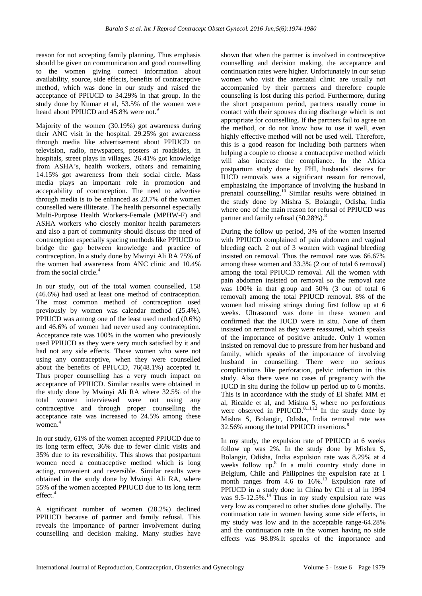reason for not accepting family planning. Thus emphasis should be given on communication and good counselling to the women giving correct information about availability, source, side effects, benefits of contraceptive method, which was done in our study and raised the acceptance of PPIUCD to 34.29% in that group. In the study done by Kumar et al, 53.5% of the women were heard about PPIUCD and 45.8% were not.<sup>9</sup>

Majority of the women (30.19%) got awareness during their ANC visit in the hospital. 29.25% got awareness through media like advertisement about PPIUCD on television, radio, newspapers, posters at roadsides, in hospitals, street plays in villages. 26.41% got knowledge from ASHA's, health workers, others and remaining 14.15% got awareness from their social circle. Mass media plays an important role in promotion and acceptability of contraception. The need to advertise through media is to be enhanced as 23.7% of the women counselled were illiterate. The health personnel especially Multi-Purpose Health Workers-Female (MPHW-F) and ASHA workers who closely monitor health parameters and also a part of community should discuss the need of contraception especially spacing methods like PPIUCD to bridge the gap between knowledge and practice of contraception. In a study done by Mwinyi Ali RA 75% of the women had awareness from ANC clinic and 10.4% from the social circle.<sup>4</sup>

In our study, out of the total women counselled, 158 (46.6%) had used at least one method of contraception. The most common method of contraception used previously by women was calendar method (25.4%). PPIUCD was among one of the least used method (0.6%) and 46.6% of women had never used any contraception. Acceptance rate was 100% in the women who previously used PPIUCD as they were very much satisfied by it and had not any side effects. Those women who were not using any contraceptive, when they were counselled about the benefits of PPIUCD, 76(48.1%) accepted it. Thus proper counselling has a very much impact on acceptance of PPIUCD. Similar results were obtained in the study done by Mwinyi Ali RA where 32.5% of the total women interviewed were not using any contraceptive and through proper counselling the acceptance rate was increased to 24.5% among these women.<sup>4</sup>

In our study, 61% of the women accepted PPIUCD due to its long term effect, 36% due to fewer clinic visits and 35% due to its reversibility. This shows that postpartum women need a contraceptive method which is long acting, convenient and reversible. Similar results were obtained in the study done by Mwinyi Ali RA, where 55% of the women accepted PPIUCD due to its long term  $effect$ <sup>4</sup>

A significant number of women (28.2%) declined PPIUCD because of partner and family refusal. This reveals the importance of partner involvement during counselling and decision making. Many studies have

shown that when the partner is involved in contraceptive counselling and decision making, the acceptance and continuation rates were higher. Unfortunately in our setup women who visit the antenatal clinic are usually not accompanied by their partners and therefore couple counseling is lost during this period. Furthermore, during the short postpartum period, partners usually come in contact with their spouses during discharge which is not appropriate for counselling. If the partners fail to agree on the method, or do not know how to use it well, even highly effective method will not be used well. Therefore, this is a good reason for including both partners when helping a couple to choose a contraceptive method which will also increase the compliance. In the Africa postpartum study done by FHI, husbands' desires for IUCD removals was a significant reason for removal, emphasizing the importance of involving the husband in prenatal counselling.<sup>10</sup> Similar results were obtained in the study done by Mishra S, Bolangir, Odisha, India where one of the main reason for refusal of PPIUCD was partner and family refusal (50.28%).<sup>8</sup>

During the follow up period, 3% of the women inserted with PPIUCD complained of pain abdomen and vaginal bleeding each. 2 out of 3 women with vaginal bleeding insisted on removal. Thus the removal rate was 66.67% among these women and 33.3% (2 out of total 6 removal) among the total PPIUCD removal. All the women with pain abdomen insisted on removal so the removal rate was 100% in that group and 50% (3 out of total 6 removal) among the total PPIUCD removal. 8% of the women had missing strings during first follow up at 6 weeks. Ultrasound was done in these women and confirmed that the IUCD were in situ. None of them insisted on removal as they were reassured, which speaks of the importance of positive attitude. Only 1 women insisted on removal due to pressure from her husband and family, which speaks of the importance of involving husband in counselling. There were no serious complications like perforation, pelvic infection in this study. Also there were no cases of pregnancy with the IUCD in situ during the follow up period up to 6 months. This is in accordance with the study of El Shafei MM et al, Ricalde et al, and Mishra S, where no perforations were observed in PPIUCD. $8,11,12$  In the study done by Mishra S, Bolangir, Odisha, India removal rate was 32.56% among the total PPIUCD insertions.<sup>8</sup>

In my study, the expulsion rate of PPIUCD at 6 weeks follow up was 2%. In the study done by Mishra S, Bolangir, Odisha, India expulsion rate was 8.29% at 4 weeks follow up.<sup>8</sup> In a multi country study done in Belgium, Chile and Philippines the expulsion rate at 1 month ranges from  $4.6\text{ to }16\%$ .<sup>13</sup> Expulsion rate of PPIUCD in a study done in China by Chi et al in 1994 was  $9.5 - 12.5\%$ .<sup>14</sup> Thus in my study expulsion rate was very low as compared to other studies done globally. The continuation rate in women having some side effects, in my study was low and in the acceptable range-64.28% and the continuation rate in the women having no side effects was 98.8%.It speaks of the importance and